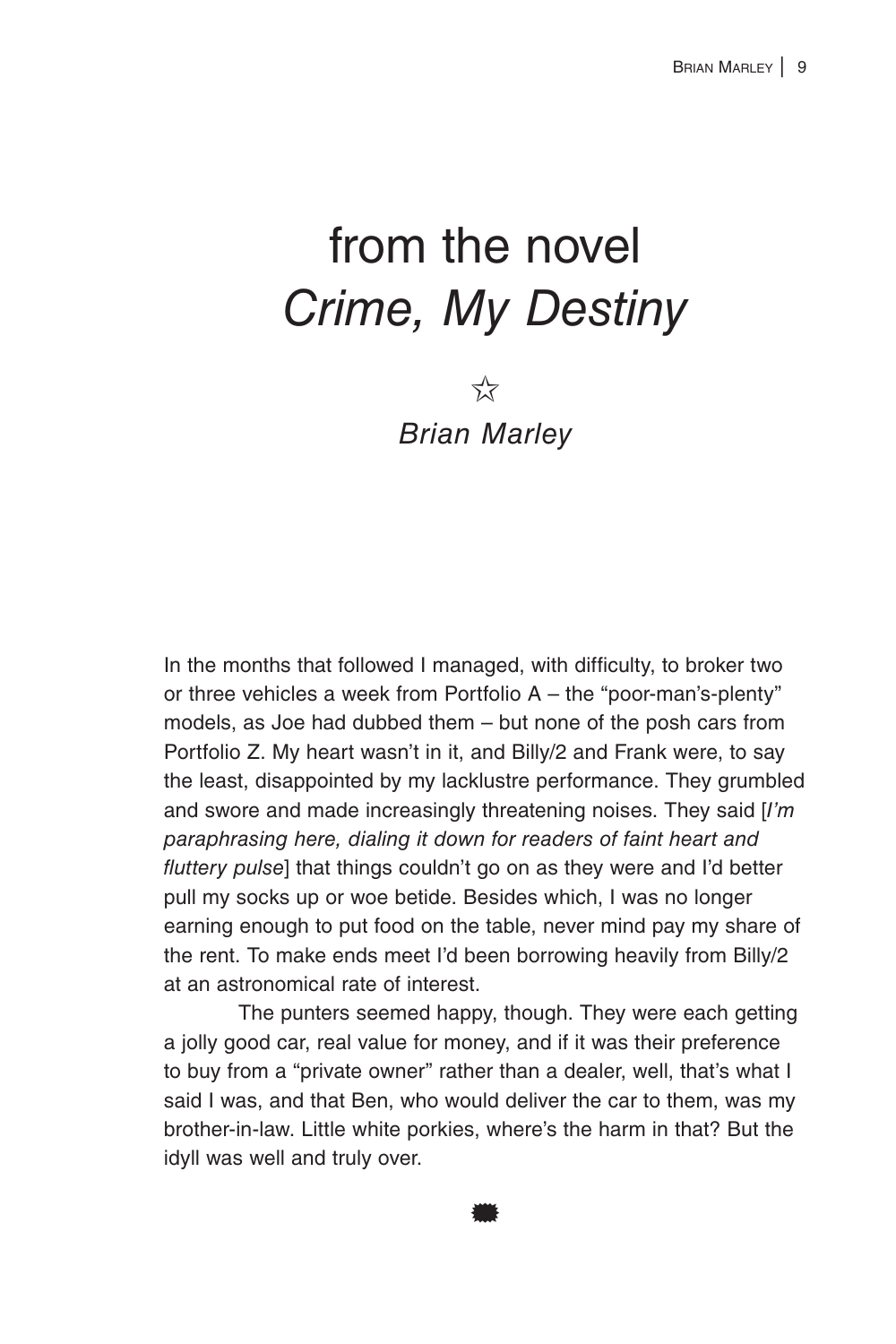## from the novel *Crime, My Destiny*

 $\overrightarrow{\lambda}$ *Brian Marley*

In the months that followed I managed, with difficulty, to broker two or three vehicles a week from Portfolio A – the "poor-man's-plenty" models, as Joe had dubbed them – but none of the posh cars from Portfolio Z. My heart wasn't in it, and Billy/2 and Frank were, to say the least, disappointed by my lacklustre performance. They grumbled and swore and made increasingly threatening noises. They said [*I'm paraphrasing here, dialing it down for readers of faint heart and fluttery pulse*] that things couldn't go on as they were and I'd better pull my socks up or woe betide. Besides which, I was no longer earning enough to put food on the table, never mind pay my share of the rent. To make ends meet I'd been borrowing heavily from Billy/2 at an astronomical rate of interest.

The punters seemed happy, though. They were each getting a jolly good car, real value for money, and if it was their preference to buy from a "private owner" rather than a dealer, well, that's what I said I was, and that Ben, who would deliver the car to them, was my brother-in-law. Little white porkies, where's the harm in that? But the idyll was well and truly over.

\*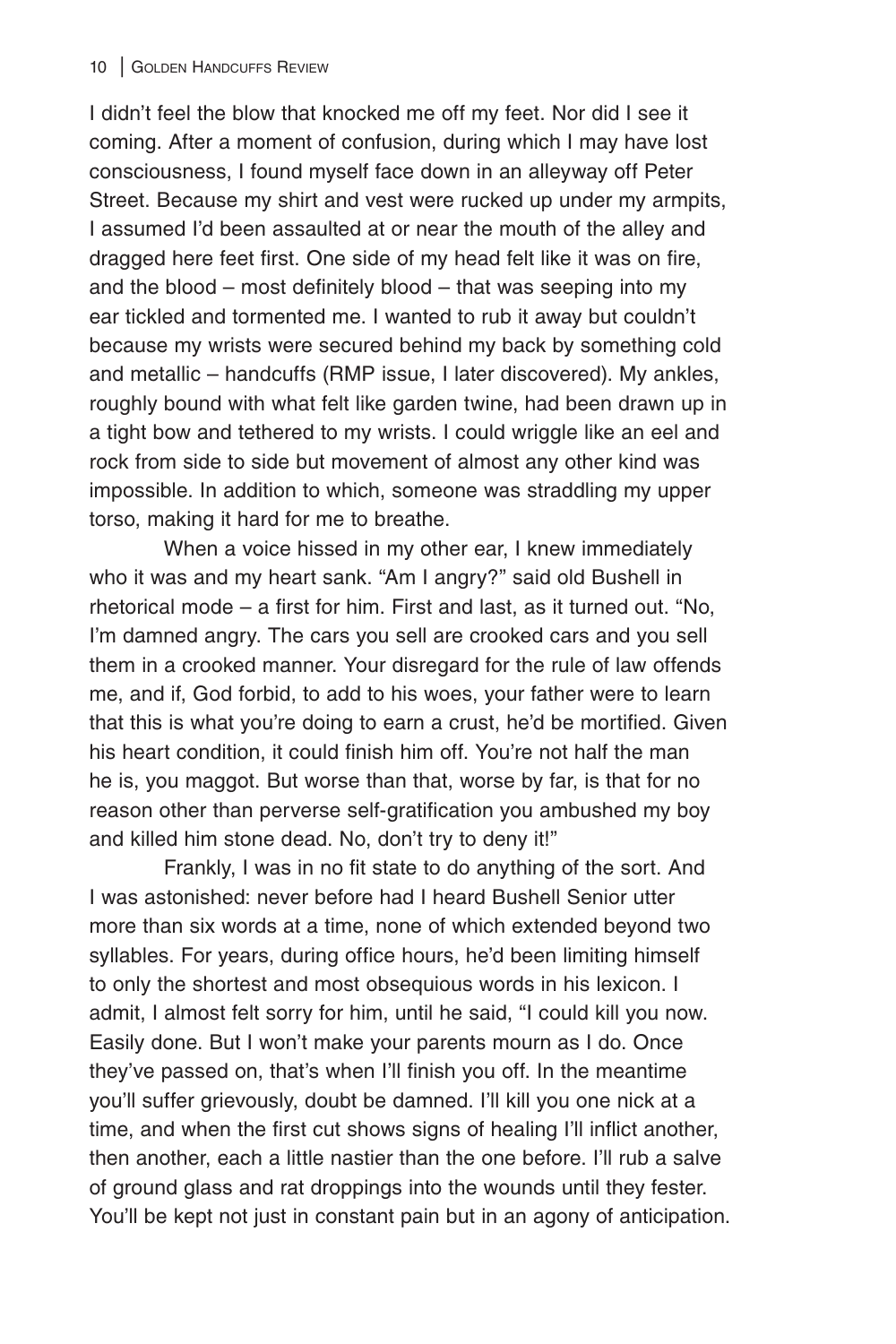I didn't feel the blow that knocked me off my feet. Nor did I see it coming. After a moment of confusion, during which I may have lost consciousness, I found myself face down in an alleyway off Peter Street. Because my shirt and vest were rucked up under my armpits, I assumed I'd been assaulted at or near the mouth of the alley and dragged here feet first. One side of my head felt like it was on fire, and the blood – most definitely blood – that was seeping into my ear tickled and tormented me. I wanted to rub it away but couldn't because my wrists were secured behind my back by something cold and metallic – handcuffs (RMP issue, I later discovered). My ankles, roughly bound with what felt like garden twine, had been drawn up in a tight bow and tethered to my wrists. I could wriggle like an eel and rock from side to side but movement of almost any other kind was impossible. In addition to which, someone was straddling my upper torso, making it hard for me to breathe.

When a voice hissed in my other ear, I knew immediately who it was and my heart sank. "Am I angry?" said old Bushell in rhetorical mode – a first for him. First and last, as it turned out. "No, I'm damned angry. The cars you sell are crooked cars and you sell them in a crooked manner. Your disregard for the rule of law offends me, and if, God forbid, to add to his woes, your father were to learn that this is what you're doing to earn a crust, he'd be mortified. Given his heart condition, it could finish him off. You're not half the man he is, you maggot. But worse than that, worse by far, is that for no reason other than perverse self-gratification you ambushed my boy and killed him stone dead. No, don't try to deny it!"

Frankly, I was in no fit state to do anything of the sort. And I was astonished: never before had I heard Bushell Senior utter more than six words at a time, none of which extended beyond two syllables. For years, during office hours, he'd been limiting himself to only the shortest and most obsequious words in his lexicon. I admit, I almost felt sorry for him, until he said, "I could kill you now. Easily done. But I won't make your parents mourn as I do. Once they've passed on, that's when I'll finish you off. In the meantime you'll suffer grievously, doubt be damned. I'll kill you one nick at a time, and when the first cut shows signs of healing I'll inflict another, then another, each a little nastier than the one before. I'll rub a salve of ground glass and rat droppings into the wounds until they fester. You'll be kept not just in constant pain but in an agony of anticipation.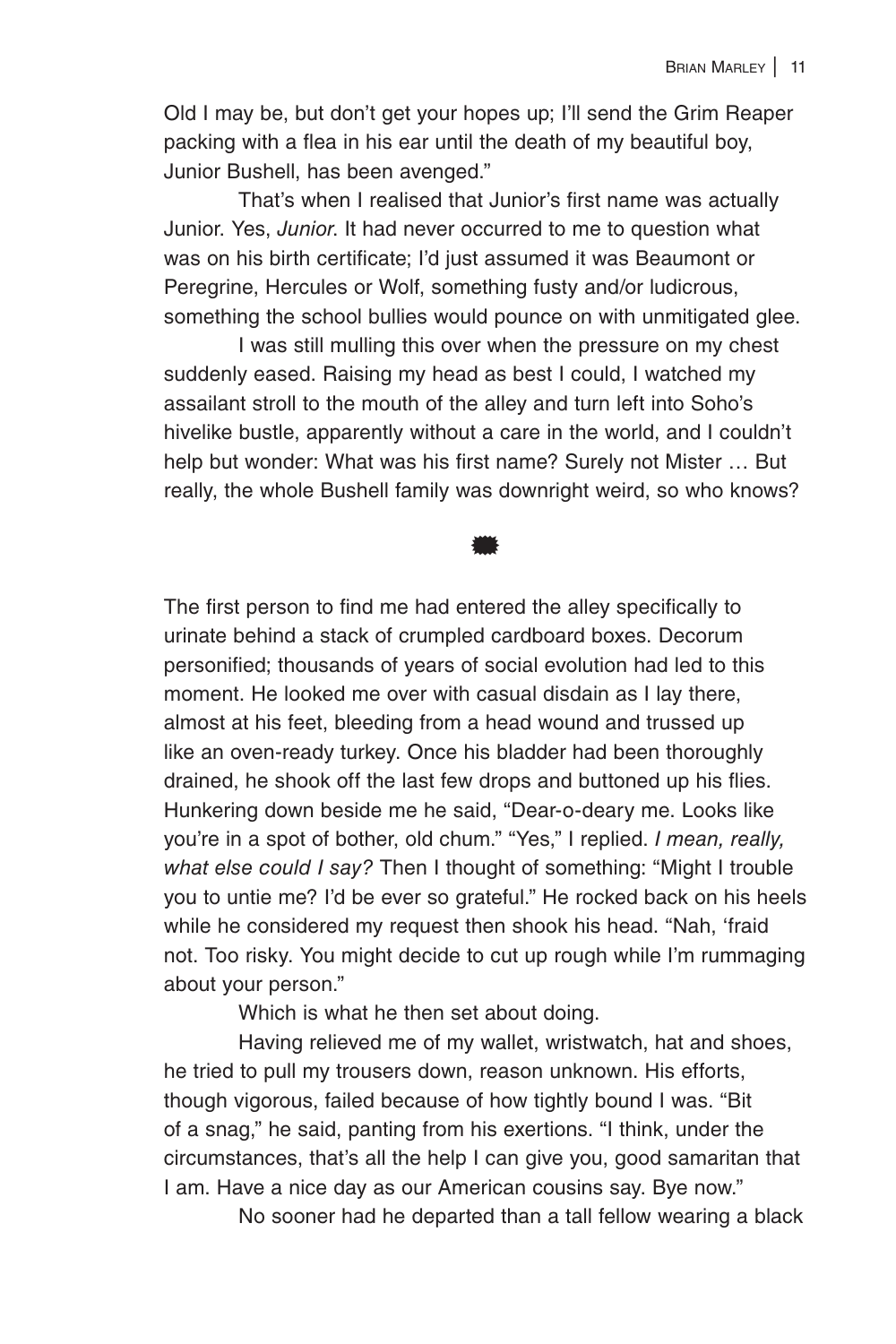Old I may be, but don't get your hopes up; I'll send the Grim Reaper packing with a flea in his ear until the death of my beautiful boy, Junior Bushell, has been avenged."

That's when I realised that Junior's first name was actually Junior. Yes, *Junior*. It had never occurred to me to question what was on his birth certificate; I'd just assumed it was Beaumont or Peregrine, Hercules or Wolf, something fusty and/or ludicrous, something the school bullies would pounce on with unmitigated glee.

I was still mulling this over when the pressure on my chest suddenly eased. Raising my head as best I could, I watched my assailant stroll to the mouth of the alley and turn left into Soho's hivelike bustle, apparently without a care in the world, and I couldn't help but wonder: What was his first name? Surely not Mister … But really, the whole Bushell family was downright weird, so who knows?

\*

The first person to find me had entered the alley specifically to urinate behind a stack of crumpled cardboard boxes. Decorum personified; thousands of years of social evolution had led to this moment. He looked me over with casual disdain as I lay there, almost at his feet, bleeding from a head wound and trussed up like an oven-ready turkey. Once his bladder had been thoroughly drained, he shook off the last few drops and buttoned up his flies. Hunkering down beside me he said, "Dear-o-deary me. Looks like you're in a spot of bother, old chum." "Yes," I replied. *I mean, really, what else could I say?* Then I thought of something: "Might I trouble you to untie me? I'd be ever so grateful." He rocked back on his heels while he considered my request then shook his head. "Nah, 'fraid not. Too risky. You might decide to cut up rough while I'm rummaging about your person."

Which is what he then set about doing.

Having relieved me of my wallet, wristwatch, hat and shoes, he tried to pull my trousers down, reason unknown. His efforts, though vigorous, failed because of how tightly bound I was. "Bit of a snag," he said, panting from his exertions. "I think, under the circumstances, that's all the help I can give you, good samaritan that I am. Have a nice day as our American cousins say. Bye now."

No sooner had he departed than a tall fellow wearing a black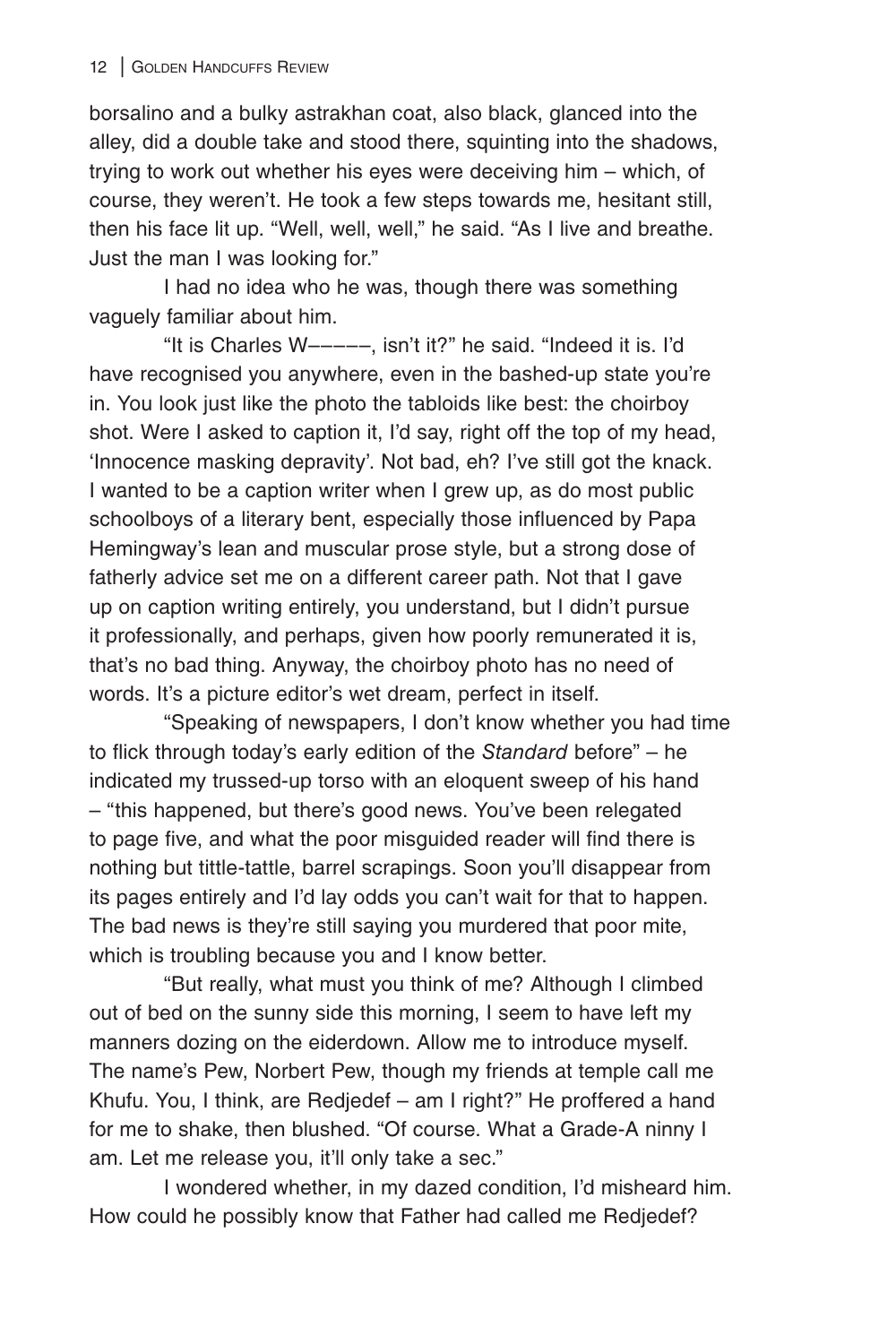borsalino and a bulky astrakhan coat, also black, glanced into the alley, did a double take and stood there, squinting into the shadows, trying to work out whether his eyes were deceiving him – which, of course, they weren't. He took a few steps towards me, hesitant still, then his face lit up. "Well, well, well," he said. "As I live and breathe. Just the man I was looking for."

I had no idea who he was, though there was something vaguely familiar about him.

"It is Charles W–––––, isn't it?" he said. "Indeed it is. I'd have recognised you anywhere, even in the bashed-up state you're in. You look just like the photo the tabloids like best: the choirboy shot. Were I asked to caption it, I'd say, right off the top of my head, 'Innocence masking depravity'. Not bad, eh? I've still got the knack. I wanted to be a caption writer when I grew up, as do most public schoolboys of a literary bent, especially those influenced by Papa Hemingway's lean and muscular prose style, but a strong dose of fatherly advice set me on a different career path. Not that I gave up on caption writing entirely, you understand, but I didn't pursue it professionally, and perhaps, given how poorly remunerated it is, that's no bad thing. Anyway, the choirboy photo has no need of words. It's a picture editor's wet dream, perfect in itself.

"Speaking of newspapers, I don't know whether you had time to flick through today's early edition of the *Standard* before" – he indicated my trussed-up torso with an eloquent sweep of his hand – "this happened, but there's good news. You've been relegated to page five, and what the poor misguided reader will find there is nothing but tittle-tattle, barrel scrapings. Soon you'll disappear from its pages entirely and I'd lay odds you can't wait for that to happen. The bad news is they're still saying you murdered that poor mite, which is troubling because you and I know better.

"But really, what must you think of me? Although I climbed out of bed on the sunny side this morning, I seem to have left my manners dozing on the eiderdown. Allow me to introduce myself. The name's Pew, Norbert Pew, though my friends at temple call me Khufu. You, I think, are Redjedef – am I right?" He proffered a hand for me to shake, then blushed. "Of course. What a Grade-A ninny I am. Let me release you, it'll only take a sec."

I wondered whether, in my dazed condition, I'd misheard him. How could he possibly know that Father had called me Redjedef?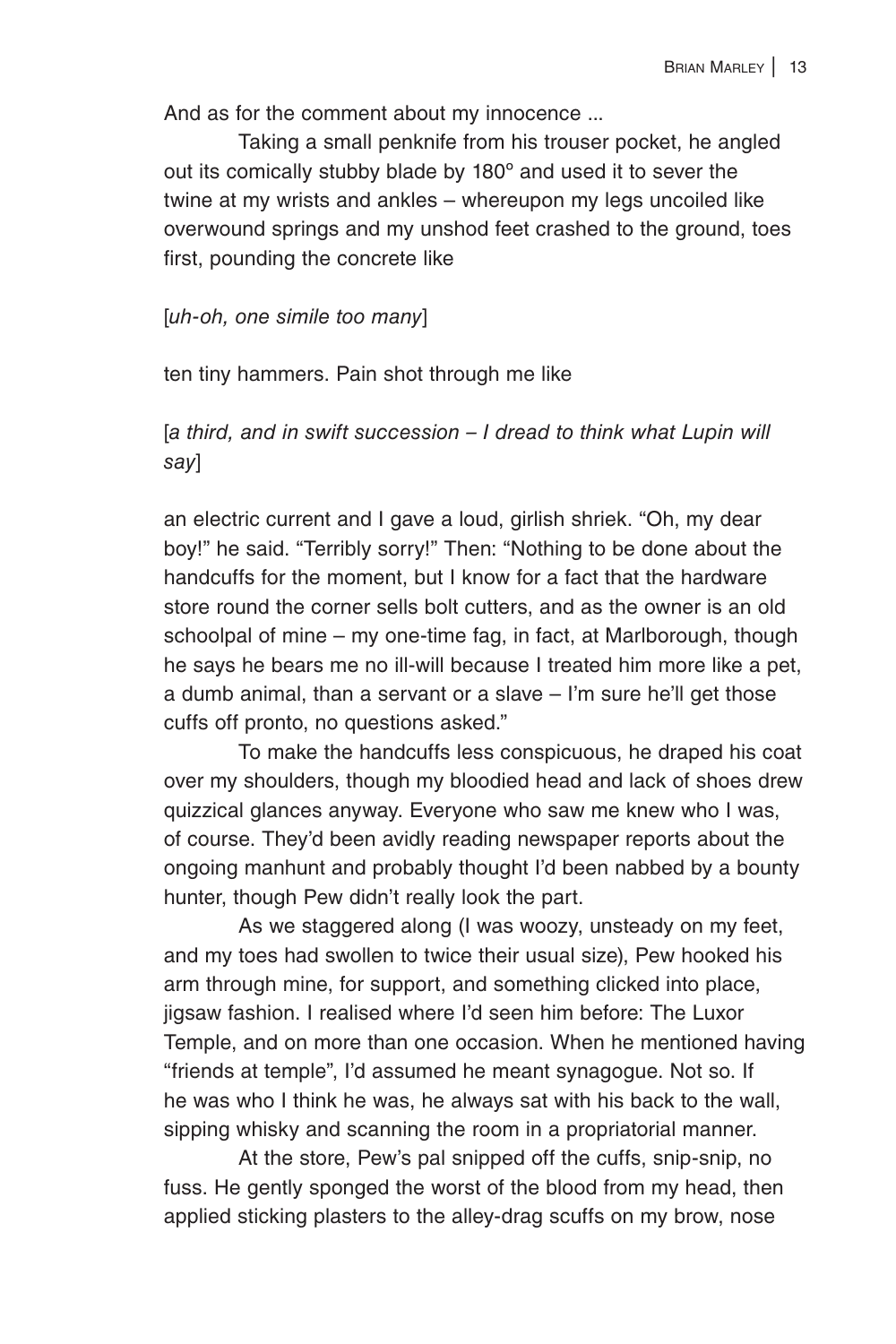And as for the comment about my innocence ...

Taking a small penknife from his trouser pocket, he angled out its comically stubby blade by 180º and used it to sever the twine at my wrists and ankles – whereupon my legs uncoiled like overwound springs and my unshod feet crashed to the ground, toes first, pounding the concrete like

[*uh-oh, one simile too many*]

ten tiny hammers. Pain shot through me like

[*a third, and in swift succession – I dread to think what Lupin will say*]

an electric current and I gave a loud, girlish shriek. "Oh, my dear boy!" he said. "Terribly sorry!" Then: "Nothing to be done about the handcuffs for the moment, but I know for a fact that the hardware store round the corner sells bolt cutters, and as the owner is an old schoolpal of mine – my one-time fag, in fact, at Marlborough, though he says he bears me no ill-will because I treated him more like a pet, a dumb animal, than a servant or a slave – I'm sure he'll get those cuffs off pronto, no questions asked."

To make the handcuffs less conspicuous, he draped his coat over my shoulders, though my bloodied head and lack of shoes drew quizzical glances anyway. Everyone who saw me knew who I was, of course. They'd been avidly reading newspaper reports about the ongoing manhunt and probably thought I'd been nabbed by a bounty hunter, though Pew didn't really look the part.

As we staggered along (I was woozy, unsteady on my feet, and my toes had swollen to twice their usual size), Pew hooked his arm through mine, for support, and something clicked into place, jigsaw fashion. I realised where I'd seen him before: The Luxor Temple, and on more than one occasion. When he mentioned having "friends at temple", I'd assumed he meant synagogue. Not so. If he was who I think he was, he always sat with his back to the wall, sipping whisky and scanning the room in a propriatorial manner.

At the store, Pew's pal snipped off the cuffs, snip-snip, no fuss. He gently sponged the worst of the blood from my head, then applied sticking plasters to the alley-drag scuffs on my brow, nose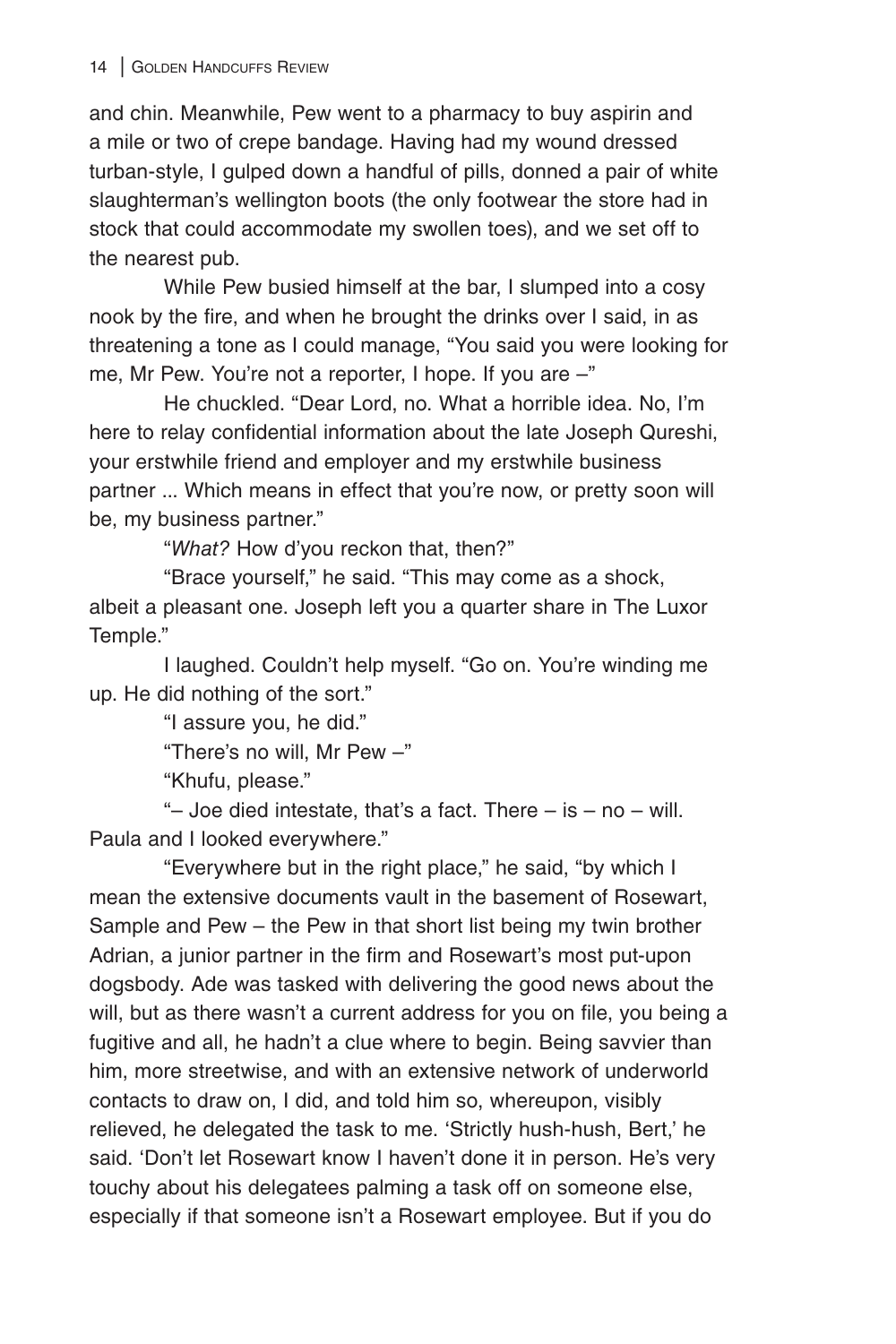and chin. Meanwhile, Pew went to a pharmacy to buy aspirin and a mile or two of crepe bandage. Having had my wound dressed turban-style, I gulped down a handful of pills, donned a pair of white slaughterman's wellington boots (the only footwear the store had in stock that could accommodate my swollen toes), and we set off to the nearest pub.

While Pew busied himself at the bar, I slumped into a cosy nook by the fire, and when he brought the drinks over I said, in as threatening a tone as I could manage, "You said you were looking for me, Mr Pew. You're not a reporter, I hope. If you are –"

He chuckled. "Dear Lord, no. What a horrible idea. No, I'm here to relay confidential information about the late Joseph Qureshi, your erstwhile friend and employer and my erstwhile business partner ... Which means in effect that you're now, or pretty soon will be, my business partner."

"*What?* How d'you reckon that, then?"

"Brace yourself," he said. "This may come as a shock, albeit a pleasant one. Joseph left you a quarter share in The Luxor Temple."

I laughed. Couldn't help myself. "Go on. You're winding me up. He did nothing of the sort."

"I assure you, he did."

"There's no will, Mr Pew –"

"Khufu, please."

"- Joe died intestate, that's a fact. There  $-$  is  $-$  no  $-$  will. Paula and I looked everywhere."

"Everywhere but in the right place," he said, "by which I mean the extensive documents vault in the basement of Rosewart, Sample and Pew – the Pew in that short list being my twin brother Adrian, a junior partner in the firm and Rosewart's most put-upon dogsbody. Ade was tasked with delivering the good news about the will, but as there wasn't a current address for you on file, you being a fugitive and all, he hadn't a clue where to begin. Being savvier than him, more streetwise, and with an extensive network of underworld contacts to draw on, I did, and told him so, whereupon, visibly relieved, he delegated the task to me. 'Strictly hush-hush, Bert,' he said. 'Don't let Rosewart know I haven't done it in person. He's very touchy about his delegatees palming a task off on someone else, especially if that someone isn't a Rosewart employee. But if you do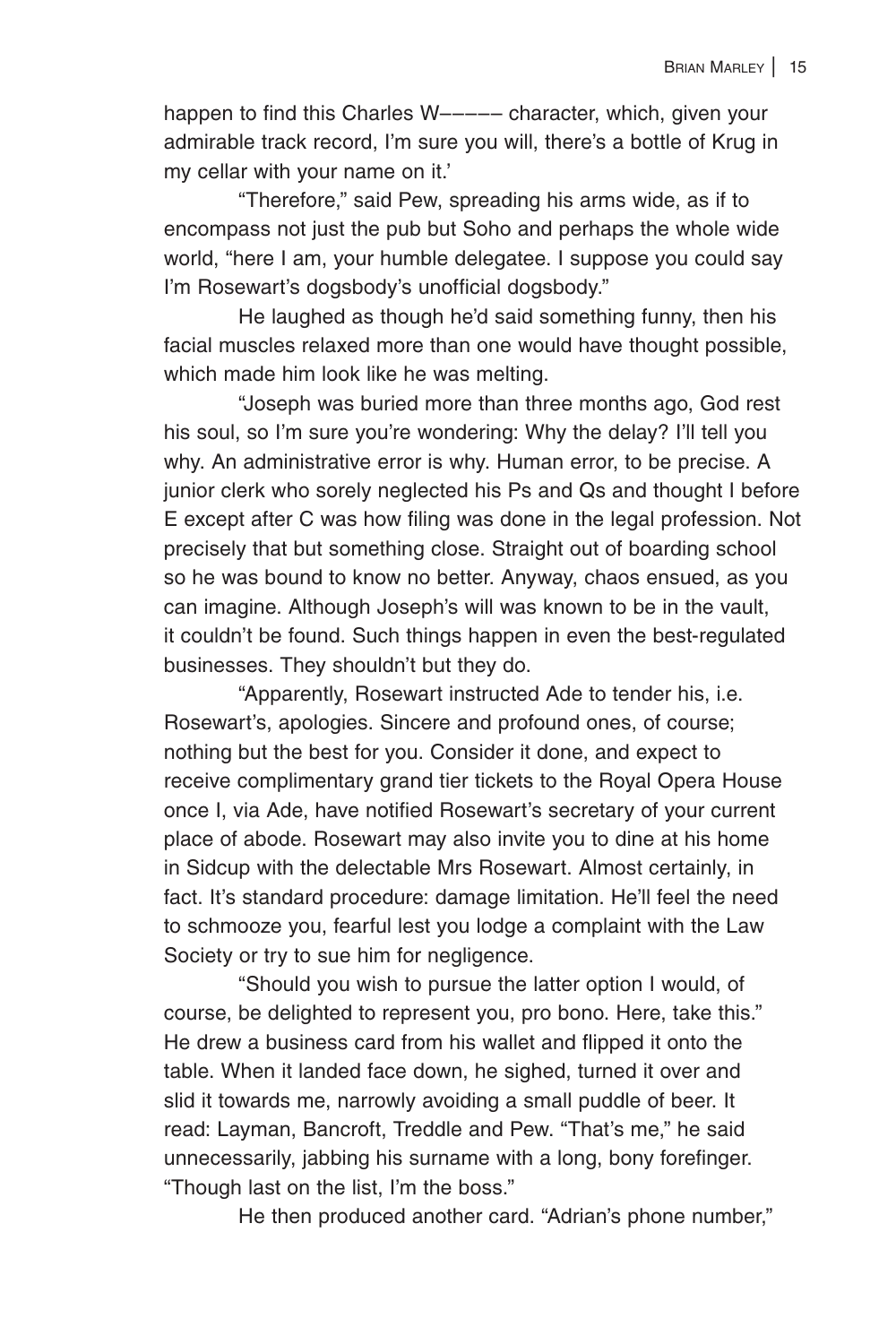happen to find this Charles W––––– character, which, given your admirable track record, I'm sure you will, there's a bottle of Krug in my cellar with your name on it.'

"Therefore," said Pew, spreading his arms wide, as if to encompass not just the pub but Soho and perhaps the whole wide world, "here I am, your humble delegatee. I suppose you could say I'm Rosewart's dogsbody's unofficial dogsbody."

He laughed as though he'd said something funny, then his facial muscles relaxed more than one would have thought possible, which made him look like he was melting.

"Joseph was buried more than three months ago, God rest his soul, so I'm sure you're wondering: Why the delay? I'll tell you why. An administrative error is why. Human error, to be precise. A junior clerk who sorely neglected his Ps and Qs and thought I before E except after C was how filing was done in the legal profession. Not precisely that but something close. Straight out of boarding school so he was bound to know no better. Anyway, chaos ensued, as you can imagine. Although Joseph's will was known to be in the vault, it couldn't be found. Such things happen in even the best-regulated businesses. They shouldn't but they do.

"Apparently, Rosewart instructed Ade to tender his, i.e. Rosewart's, apologies. Sincere and profound ones, of course; nothing but the best for you. Consider it done, and expect to receive complimentary grand tier tickets to the Royal Opera House once I, via Ade, have notified Rosewart's secretary of your current place of abode. Rosewart may also invite you to dine at his home in Sidcup with the delectable Mrs Rosewart. Almost certainly, in fact. It's standard procedure: damage limitation. He'll feel the need to schmooze you, fearful lest you lodge a complaint with the Law Society or try to sue him for negligence.

"Should you wish to pursue the latter option I would, of course, be delighted to represent you, pro bono. Here, take this." He drew a business card from his wallet and flipped it onto the table. When it landed face down, he sighed, turned it over and slid it towards me, narrowly avoiding a small puddle of beer. It read: Layman, Bancroft, Treddle and Pew. "That's me," he said unnecessarily, jabbing his surname with a long, bony forefinger. "Though last on the list, I'm the boss."

He then produced another card. "Adrian's phone number,"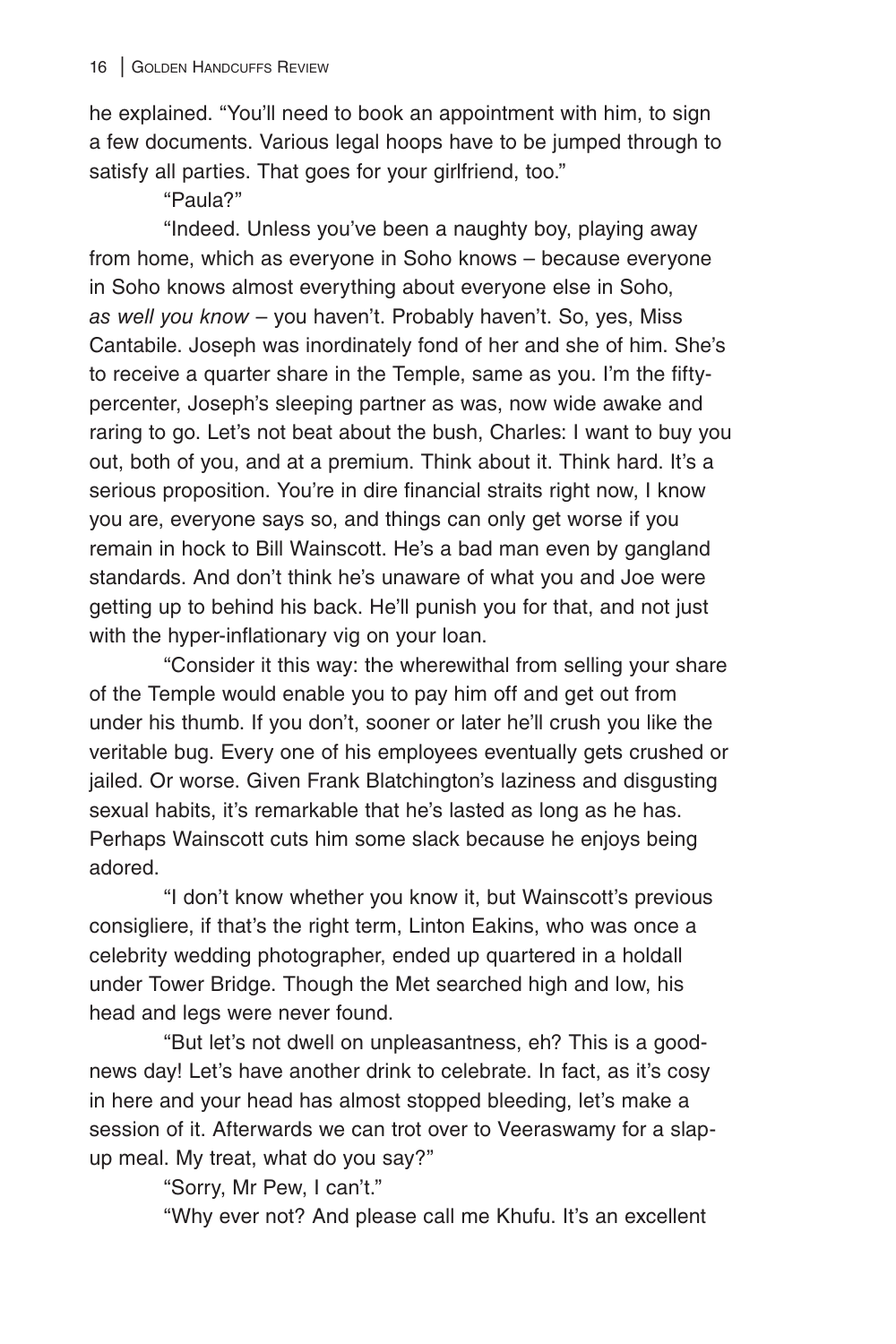he explained. "You'll need to book an appointment with him, to sign a few documents. Various legal hoops have to be jumped through to satisfy all parties. That goes for your girlfriend, too."

"Paula?"

"Indeed. Unless you've been a naughty boy, playing away from home, which as everyone in Soho knows – because everyone in Soho knows almost everything about everyone else in Soho, *as well you know* – you haven't. Probably haven't. So, yes, Miss Cantabile. Joseph was inordinately fond of her and she of him. She's to receive a quarter share in the Temple, same as you. I'm the fiftypercenter, Joseph's sleeping partner as was, now wide awake and raring to go. Let's not beat about the bush, Charles: I want to buy you out, both of you, and at a premium. Think about it. Think hard. It's a serious proposition. You're in dire financial straits right now, I know you are, everyone says so, and things can only get worse if you remain in hock to Bill Wainscott. He's a bad man even by gangland standards. And don't think he's unaware of what you and Joe were getting up to behind his back. He'll punish you for that, and not just with the hyper-inflationary vig on your loan.

"Consider it this way: the wherewithal from selling your share of the Temple would enable you to pay him off and get out from under his thumb. If you don't, sooner or later he'll crush you like the veritable bug. Every one of his employees eventually gets crushed or jailed. Or worse. Given Frank Blatchington's laziness and disgusting sexual habits, it's remarkable that he's lasted as long as he has. Perhaps Wainscott cuts him some slack because he enjoys being adored.

"I don't know whether you know it, but Wainscott's previous consigliere, if that's the right term, Linton Eakins, who was once a celebrity wedding photographer, ended up quartered in a holdall under Tower Bridge. Though the Met searched high and low, his head and legs were never found.

"But let's not dwell on unpleasantness, eh? This is a goodnews day! Let's have another drink to celebrate. In fact, as it's cosy in here and your head has almost stopped bleeding, let's make a session of it. Afterwards we can trot over to Veeraswamy for a slapup meal. My treat, what do you say?"

"Sorry, Mr Pew, I can't."

"Why ever not? And please call me Khufu. It's an excellent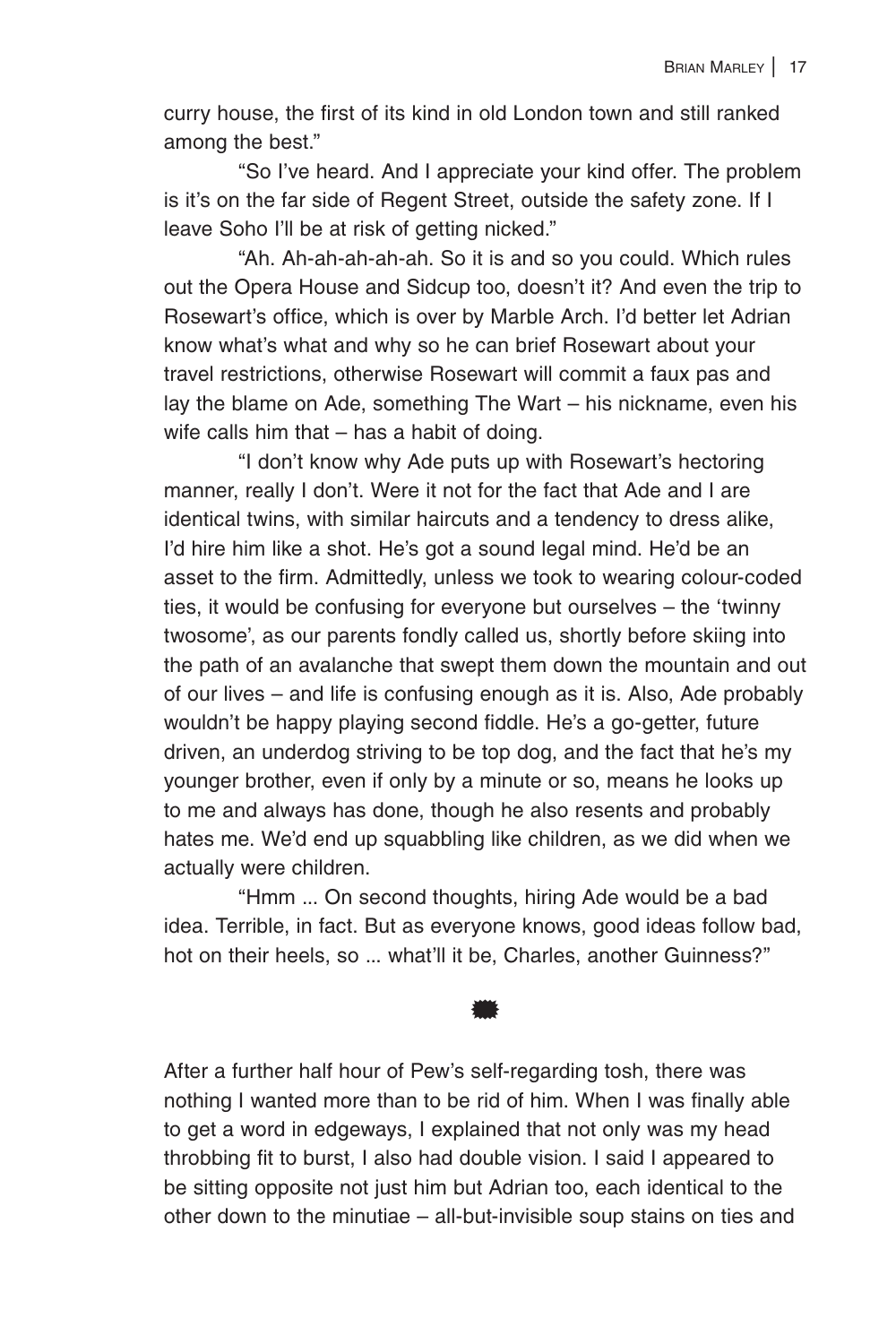curry house, the first of its kind in old London town and still ranked among the best."

"So I've heard. And I appreciate your kind offer. The problem is it's on the far side of Regent Street, outside the safety zone. If I leave Soho I'll be at risk of getting nicked."

"Ah. Ah-ah-ah-ah-ah. So it is and so you could. Which rules out the Opera House and Sidcup too, doesn't it? And even the trip to Rosewart's office, which is over by Marble Arch. I'd better let Adrian know what's what and why so he can brief Rosewart about your travel restrictions, otherwise Rosewart will commit a faux pas and lay the blame on Ade, something The Wart – his nickname, even his wife calls him that – has a habit of doing.

"I don't know why Ade puts up with Rosewart's hectoring manner, really I don't. Were it not for the fact that Ade and I are identical twins, with similar haircuts and a tendency to dress alike, I'd hire him like a shot. He's got a sound legal mind. He'd be an asset to the firm. Admittedly, unless we took to wearing colour-coded ties, it would be confusing for everyone but ourselves – the 'twinny twosome', as our parents fondly called us, shortly before skiing into the path of an avalanche that swept them down the mountain and out of our lives – and life is confusing enough as it is. Also, Ade probably wouldn't be happy playing second fiddle. He's a go-getter, future driven, an underdog striving to be top dog, and the fact that he's my younger brother, even if only by a minute or so, means he looks up to me and always has done, though he also resents and probably hates me. We'd end up squabbling like children, as we did when we actually were children.

"Hmm ... On second thoughts, hiring Ade would be a bad idea. Terrible, in fact. But as everyone knows, good ideas follow bad, hot on their heels, so ... what'll it be, Charles, another Guinness?"

\*

After a further half hour of Pew's self-regarding tosh, there was nothing I wanted more than to be rid of him. When I was finally able to get a word in edgeways, I explained that not only was my head throbbing fit to burst, I also had double vision. I said I appeared to be sitting opposite not just him but Adrian too, each identical to the other down to the minutiae – all-but-invisible soup stains on ties and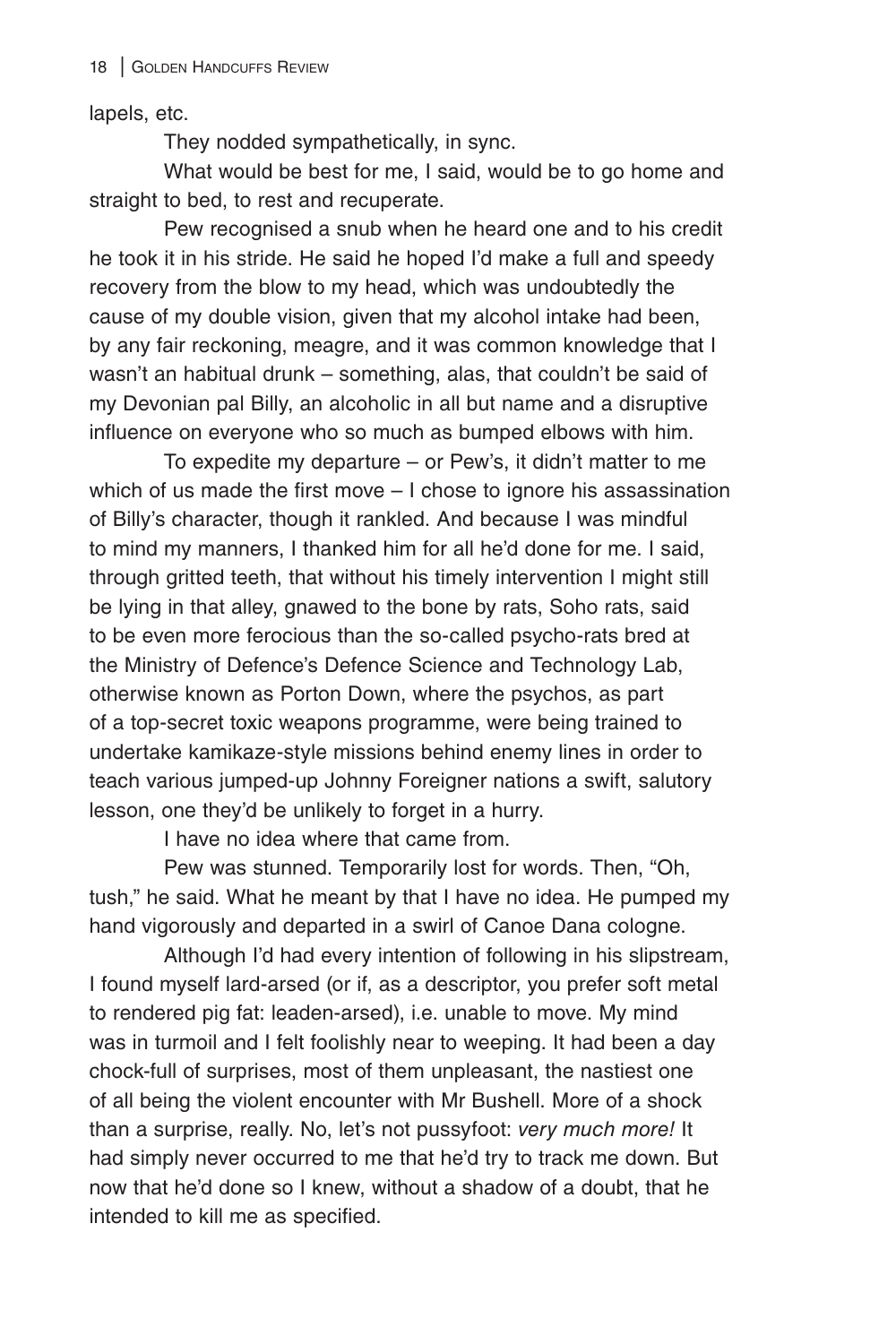lapels, etc.

They nodded sympathetically, in sync.

What would be best for me, I said, would be to go home and straight to bed, to rest and recuperate.

Pew recognised a snub when he heard one and to his credit he took it in his stride. He said he hoped I'd make a full and speedy recovery from the blow to my head, which was undoubtedly the cause of my double vision, given that my alcohol intake had been, by any fair reckoning, meagre, and it was common knowledge that I wasn't an habitual drunk – something, alas, that couldn't be said of my Devonian pal Billy, an alcoholic in all but name and a disruptive influence on everyone who so much as bumped elbows with him.

To expedite my departure – or Pew's, it didn't matter to me which of us made the first move – I chose to ignore his assassination of Billy's character, though it rankled. And because I was mindful to mind my manners, I thanked him for all he'd done for me. I said, through gritted teeth, that without his timely intervention I might still be lying in that alley, gnawed to the bone by rats, Soho rats, said to be even more ferocious than the so-called psycho-rats bred at the Ministry of Defence's Defence Science and Technology Lab, otherwise known as Porton Down, where the psychos, as part of a top-secret toxic weapons programme, were being trained to undertake kamikaze-style missions behind enemy lines in order to teach various jumped-up Johnny Foreigner nations a swift, salutory lesson, one they'd be unlikely to forget in a hurry.

I have no idea where that came from.

Pew was stunned. Temporarily lost for words. Then, "Oh, tush," he said. What he meant by that I have no idea. He pumped my hand vigorously and departed in a swirl of Canoe Dana cologne.

Although I'd had every intention of following in his slipstream, I found myself lard-arsed (or if, as a descriptor, you prefer soft metal to rendered pig fat: leaden-arsed), i.e. unable to move. My mind was in turmoil and I felt foolishly near to weeping. It had been a day chock-full of surprises, most of them unpleasant, the nastiest one of all being the violent encounter with Mr Bushell. More of a shock than a surprise, really. No, let's not pussyfoot: *very much more!* It had simply never occurred to me that he'd try to track me down. But now that he'd done so I knew, without a shadow of a doubt, that he intended to kill me as specified.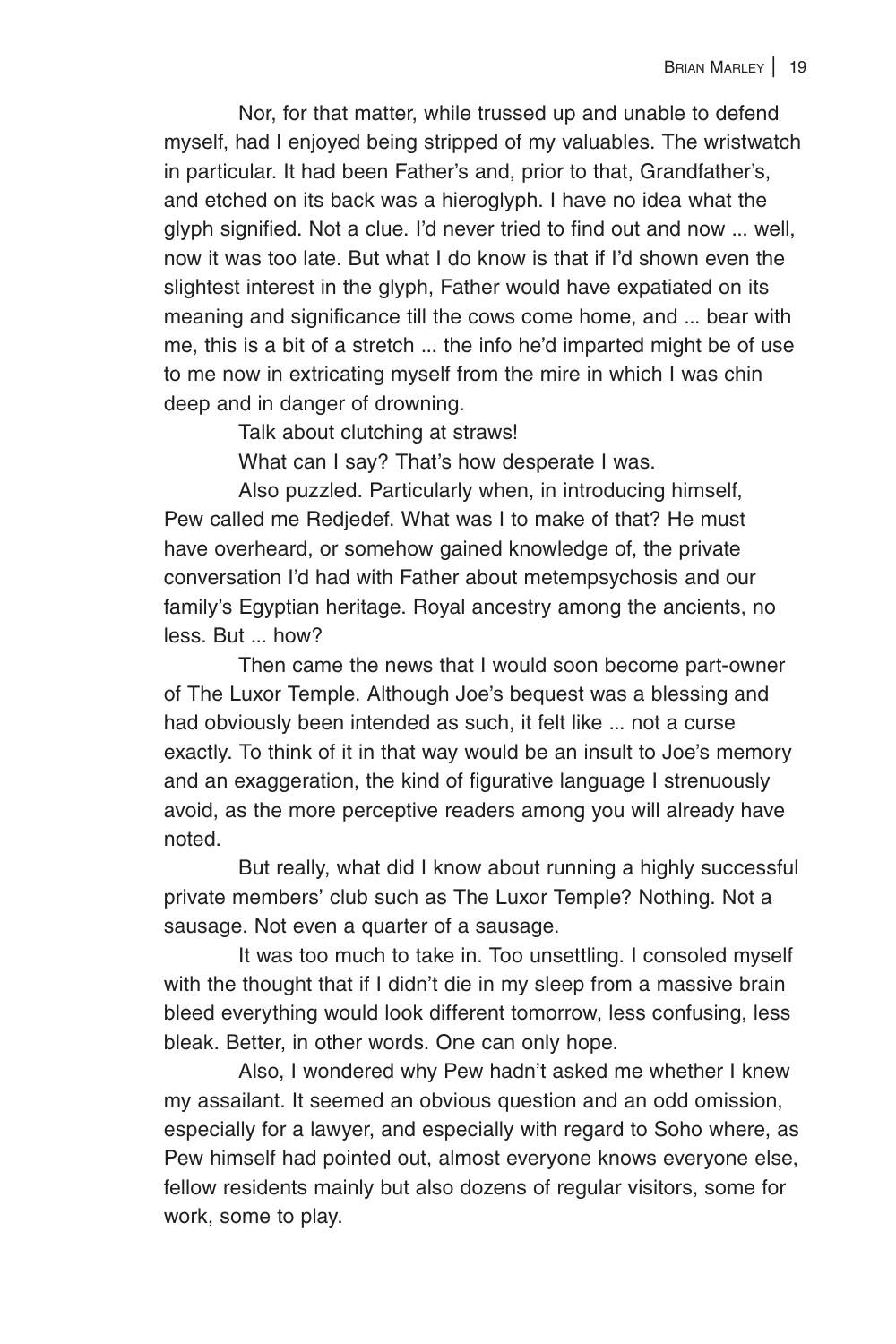Nor, for that matter, while trussed up and unable to defend myself, had I enjoyed being stripped of my valuables. The wristwatch in particular. It had been Father's and, prior to that, Grandfather's, and etched on its back was a hieroglyph. I have no idea what the glyph signified. Not a clue. I'd never tried to find out and now ... well, now it was too late. But what I do know is that if I'd shown even the slightest interest in the glyph, Father would have expatiated on its meaning and significance till the cows come home, and ... bear with me, this is a bit of a stretch ... the info he'd imparted might be of use to me now in extricating myself from the mire in which I was chin deep and in danger of drowning.

Talk about clutching at straws!

What can I say? That's how desperate I was.

Also puzzled. Particularly when, in introducing himself, Pew called me Redjedef. What was I to make of that? He must have overheard, or somehow gained knowledge of, the private conversation I'd had with Father about metempsychosis and our family's Egyptian heritage. Royal ancestry among the ancients, no less. But ... how?

Then came the news that I would soon become part-owner of The Luxor Temple. Although Joe's bequest was a blessing and had obviously been intended as such, it felt like ... not a curse exactly. To think of it in that way would be an insult to Joe's memory and an exaggeration, the kind of figurative language I strenuously avoid, as the more perceptive readers among you will already have noted.

But really, what did I know about running a highly successful private members' club such as The Luxor Temple? Nothing. Not a sausage. Not even a quarter of a sausage.

It was too much to take in. Too unsettling. I consoled myself with the thought that if I didn't die in my sleep from a massive brain bleed everything would look different tomorrow, less confusing, less bleak. Better, in other words. One can only hope.

Also, I wondered why Pew hadn't asked me whether I knew my assailant. It seemed an obvious question and an odd omission, especially for a lawyer, and especially with regard to Soho where, as Pew himself had pointed out, almost everyone knows everyone else, fellow residents mainly but also dozens of regular visitors, some for work, some to play.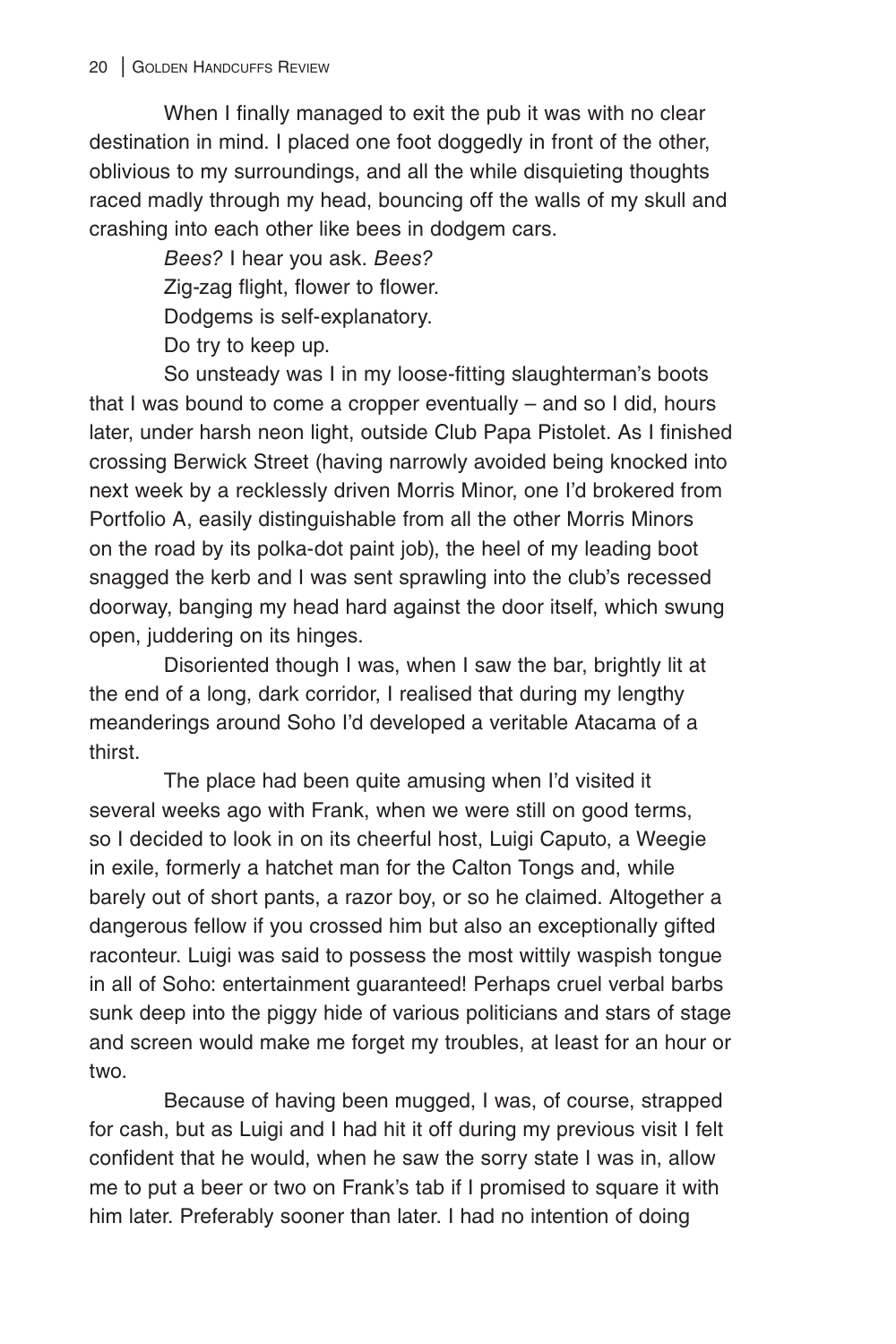When I finally managed to exit the pub it was with no clear destination in mind. I placed one foot doggedly in front of the other, oblivious to my surroundings, and all the while disquieting thoughts raced madly through my head, bouncing off the walls of my skull and crashing into each other like bees in dodgem cars.

> *Bees?* I hear you ask. *Bees?* Zig-zag flight, flower to flower. Dodgems is self-explanatory. Do try to keep up.

So unsteady was I in my loose-fitting slaughterman's boots that I was bound to come a cropper eventually – and so I did, hours later, under harsh neon light, outside Club Papa Pistolet. As I finished crossing Berwick Street (having narrowly avoided being knocked into next week by a recklessly driven Morris Minor, one I'd brokered from Portfolio A, easily distinguishable from all the other Morris Minors on the road by its polka-dot paint job), the heel of my leading boot snagged the kerb and I was sent sprawling into the club's recessed doorway, banging my head hard against the door itself, which swung open, juddering on its hinges.

Disoriented though I was, when I saw the bar, brightly lit at the end of a long, dark corridor, I realised that during my lengthy meanderings around Soho I'd developed a veritable Atacama of a thirst.

The place had been quite amusing when I'd visited it several weeks ago with Frank, when we were still on good terms, so I decided to look in on its cheerful host, Luigi Caputo, a Weegie in exile, formerly a hatchet man for the Calton Tongs and, while barely out of short pants, a razor boy, or so he claimed. Altogether a dangerous fellow if you crossed him but also an exceptionally gifted raconteur. Luigi was said to possess the most wittily waspish tongue in all of Soho: entertainment guaranteed! Perhaps cruel verbal barbs sunk deep into the piggy hide of various politicians and stars of stage and screen would make me forget my troubles, at least for an hour or two.

Because of having been mugged, I was, of course, strapped for cash, but as Luigi and I had hit it off during my previous visit I felt confident that he would, when he saw the sorry state I was in, allow me to put a beer or two on Frank's tab if I promised to square it with him later. Preferably sooner than later. I had no intention of doing